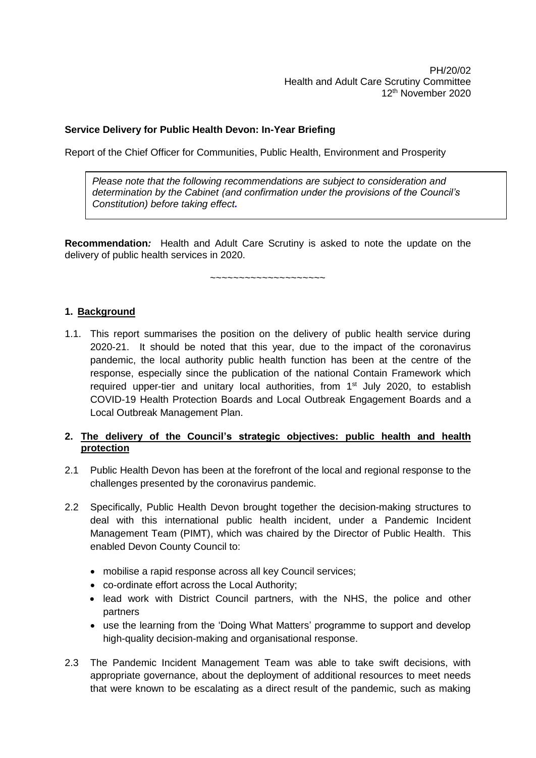# **Service Delivery for Public Health Devon: In-Year Briefing**

Report of the Chief Officer for Communities, Public Health, Environment and Prosperity

*Please note that the following recommendations are subject to consideration and determination by the Cabinet (and confirmation under the provisions of the Council's Constitution) before taking effect.* 

**Recommendation***:* Health and Adult Care Scrutiny is asked to note the update on the delivery of public health services in 2020.

 $~\sim$   $~\sim$   $~\sim$   $~\sim$   $~\sim$   $~\sim$   $~\sim$   $~\sim$   $~\sim$   $~\sim$   $~\sim$   $~\sim$   $~\sim$   $~\sim$   $~\sim$   $~\sim$   $~\sim$   $~\sim$   $~\sim$   $~\sim$   $~\sim$   $~\sim$   $~\sim$   $~\sim$   $~\sim$   $~\sim$   $~\sim$   $~\sim$   $~\sim$   $~\sim$   $~\sim$   $~\sim$   $~\sim$   $~\sim$   $~\sim$   $~\sim$   $~\sim$ 

### **1. Background**

1.1. This report summarises the position on the delivery of public health service during 2020-21. It should be noted that this year, due to the impact of the coronavirus pandemic, the local authority public health function has been at the centre of the response, especially since the publication of the national Contain Framework which required upper-tier and unitary local authorities, from 1<sup>st</sup> July 2020, to establish COVID-19 Health Protection Boards and Local Outbreak Engagement Boards and a Local Outbreak Management Plan.

### **2. The delivery of the Council's strategic objectives: public health and health protection**

- 2.1 Public Health Devon has been at the forefront of the local and regional response to the challenges presented by the coronavirus pandemic.
- 2.2 Specifically, Public Health Devon brought together the decision-making structures to deal with this international public health incident, under a Pandemic Incident Management Team (PIMT), which was chaired by the Director of Public Health. This enabled Devon County Council to:
	- mobilise a rapid response across all key Council services;
	- co-ordinate effort across the Local Authority;
	- lead work with District Council partners, with the NHS, the police and other partners
	- use the learning from the 'Doing What Matters' programme to support and develop high-quality decision-making and organisational response.
- 2.3 The Pandemic Incident Management Team was able to take swift decisions, with appropriate governance, about the deployment of additional resources to meet needs that were known to be escalating as a direct result of the pandemic, such as making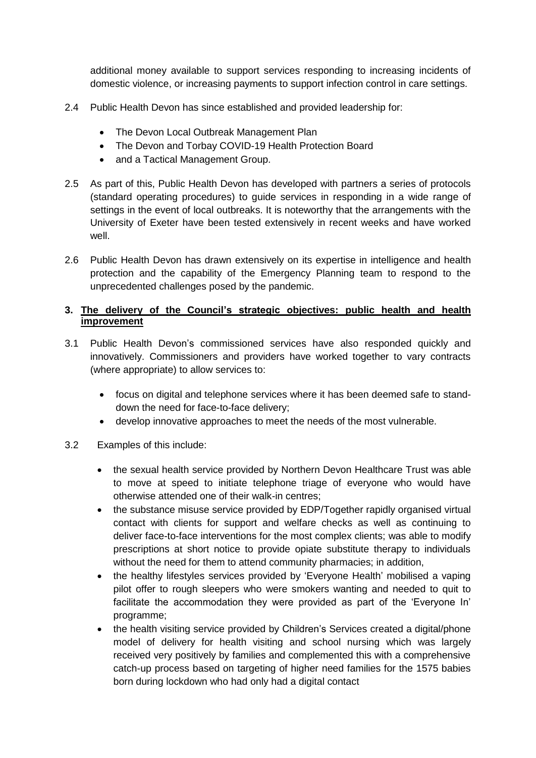additional money available to support services responding to increasing incidents of domestic violence, or increasing payments to support infection control in care settings.

- 2.4 Public Health Devon has since established and provided leadership for:
	- The Devon Local Outbreak Management Plan
	- The Devon and Torbay COVID-19 Health Protection Board
	- and a Tactical Management Group.
- 2.5 As part of this, Public Health Devon has developed with partners a series of protocols (standard operating procedures) to guide services in responding in a wide range of settings in the event of local outbreaks. It is noteworthy that the arrangements with the University of Exeter have been tested extensively in recent weeks and have worked well.
- 2.6 Public Health Devon has drawn extensively on its expertise in intelligence and health protection and the capability of the Emergency Planning team to respond to the unprecedented challenges posed by the pandemic.

# **3. The delivery of the Council's strategic objectives: public health and health improvement**

- 3.1 Public Health Devon's commissioned services have also responded quickly and innovatively. Commissioners and providers have worked together to vary contracts (where appropriate) to allow services to:
	- focus on digital and telephone services where it has been deemed safe to standdown the need for face-to-face delivery;
	- develop innovative approaches to meet the needs of the most vulnerable.

### 3.2 Examples of this include:

- the sexual health service provided by Northern Devon Healthcare Trust was able to move at speed to initiate telephone triage of everyone who would have otherwise attended one of their walk-in centres;
- the substance misuse service provided by EDP/Together rapidly organised virtual contact with clients for support and welfare checks as well as continuing to deliver face-to-face interventions for the most complex clients; was able to modify prescriptions at short notice to provide opiate substitute therapy to individuals without the need for them to attend community pharmacies; in addition,
- the healthy lifestyles services provided by 'Everyone Health' mobilised a vaping pilot offer to rough sleepers who were smokers wanting and needed to quit to facilitate the accommodation they were provided as part of the 'Everyone In' programme;
- the health visiting service provided by Children's Services created a digital/phone model of delivery for health visiting and school nursing which was largely received very positively by families and complemented this with a comprehensive catch-up process based on targeting of higher need families for the 1575 babies born during lockdown who had only had a digital contact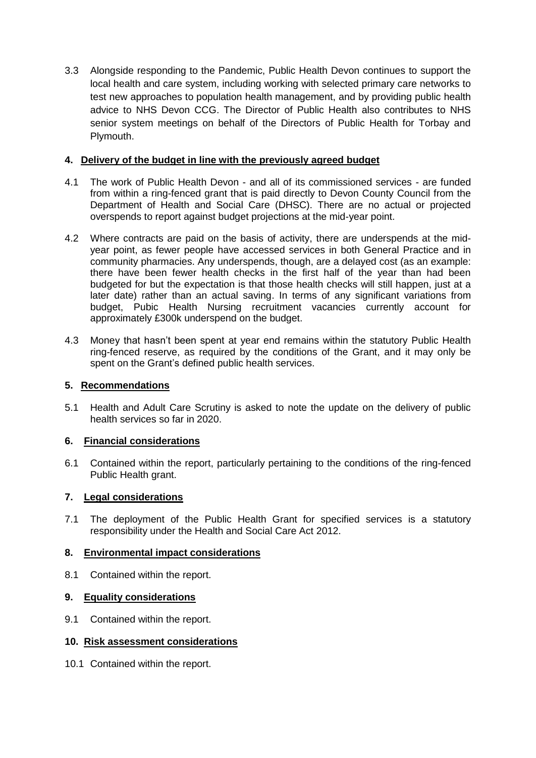3.3 Alongside responding to the Pandemic, Public Health Devon continues to support the local health and care system, including working with selected primary care networks to test new approaches to population health management, and by providing public health advice to NHS Devon CCG. The Director of Public Health also contributes to NHS senior system meetings on behalf of the Directors of Public Health for Torbay and Plymouth.

# **4. Delivery of the budget in line with the previously agreed budget**

- 4.1 The work of Public Health Devon and all of its commissioned services are funded from within a ring-fenced grant that is paid directly to Devon County Council from the Department of Health and Social Care (DHSC). There are no actual or projected overspends to report against budget projections at the mid-year point.
- 4.2 Where contracts are paid on the basis of activity, there are underspends at the midyear point, as fewer people have accessed services in both General Practice and in community pharmacies. Any underspends, though, are a delayed cost (as an example: there have been fewer health checks in the first half of the year than had been budgeted for but the expectation is that those health checks will still happen, just at a later date) rather than an actual saving. In terms of any significant variations from budget, Pubic Health Nursing recruitment vacancies currently account for approximately £300k underspend on the budget.
- 4.3 Money that hasn't been spent at year end remains within the statutory Public Health ring-fenced reserve, as required by the conditions of the Grant, and it may only be spent on the Grant's defined public health services.

### **5. Recommendations**

5.1 Health and Adult Care Scrutiny is asked to note the update on the delivery of public health services so far in 2020.

### **6. Financial considerations**

6.1 Contained within the report, particularly pertaining to the conditions of the ring-fenced Public Health grant.

# **7. Legal considerations**

7.1 The deployment of the Public Health Grant for specified services is a statutory responsibility under the Health and Social Care Act 2012.

### **8. Environmental impact considerations**

8.1 Contained within the report.

### **9. Equality considerations**

9.1 Contained within the report.

### **10. Risk assessment considerations**

10.1 Contained within the report.